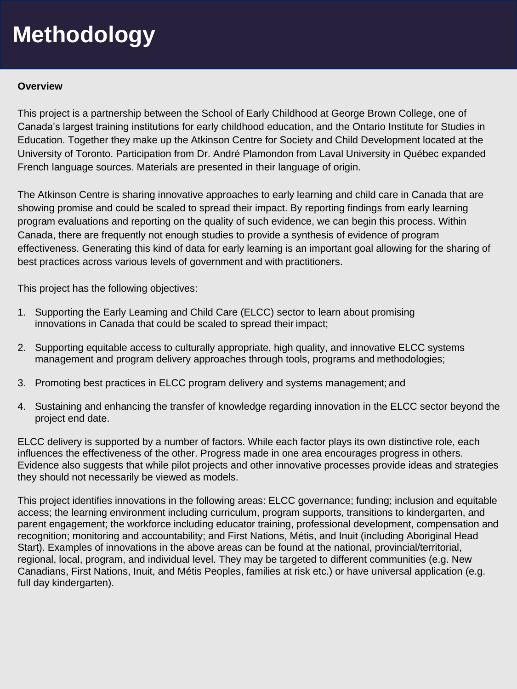### **Overview**

This project is a partnership between the School of Early Childhood at George Brown College, one of Canada's largest training institutions for early childhood education, and the Ontario Institute for Studies in Education. Together they make up the Atkinson Centre for Society and Child Development located at the University of Toronto. Participation from Dr. André Plamondon from Laval University in Québec expanded French language sources. Materials are presented in their language of origin.

The Atkinson Centre is sharing innovative approaches to early learning and child care in Canada that are showing promise and could be scaled to spread their impact. By reporting findings from early learning program evaluations and reporting on the quality of such evidence, we can begin this process. Within Canada, there are frequently not enough studies to provide a synthesis of evidence of program effectiveness. Generating this kind of data for early learning is an important goal allowing for the sharing of best practices across various levels of government and with practitioners.

This project has the following objectives:

- 1. Supporting the Early Learning and Child Care (ELCC) sector to learn about promising innovations in Canada that could be scaled to spread their impact;
- 2. Supporting equitable access to culturally appropriate, high quality, and innovative ELCC systems management and program delivery approaches through tools, programs and methodologies;
- 3. Promoting best practices in ELCC program delivery and systems management; and
- 4. Sustaining and enhancing the transfer of knowledge regarding innovation in the ELCC sector beyond the project end date.

ELCC delivery is supported by a number of factors. While each factor plays its own distinctive role, each influences the effectiveness of the other. Progress made in one area encourages progress in others. Evidence also suggests that while pilot projects and other innovative processes provide ideas and strategies they should not necessarily be viewed as models.

This project identifies innovations in the following areas: ELCC governance; funding; inclusion and equitable access; the learning environment including curriculum, program supports, transitions to kindergarten, and parent engagement; the workforce including educator training, professional development, compensation and recognition; monitoring and accountability; and First Nations, Métis, and Inuit (including Aboriginal Head Start). Examples of innovations in the above areas can be found at the national, provincial/territorial, regional, local, program, and individual level. They may be targeted to different communities (e.g. New Canadians, First Nations, Inuit, and Métis Peoples, families at risk etc.) or have universal application (e.g. full day kindergarten).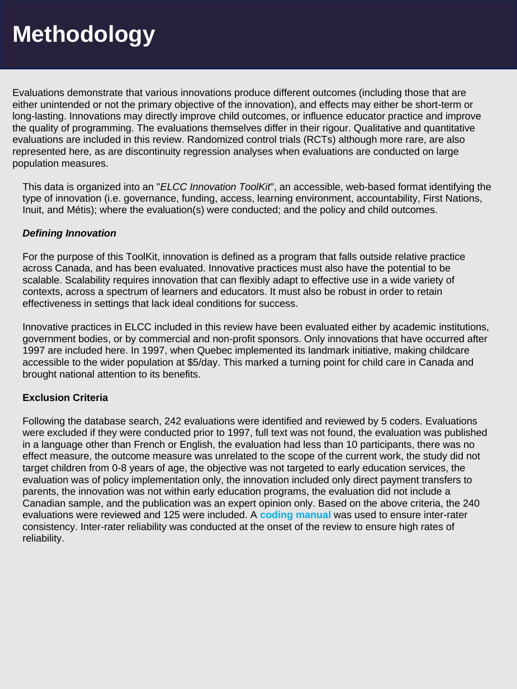Evaluations demonstrate that various innovations produce different outcomes (including those that are either unintended or not the primary objective of the innovation), and effects may either be short-term or long-lasting. Innovations may directly improve child outcomes, or influence educator practice and improve the quality of programming. The evaluations themselves differ in their rigour. Qualitative and quantitative evaluations are included in this review. Randomized control trials (RCTs) although more rare, are also represented here, as are discontinuity regression analyses when evaluations are conducted on large population measures.

This data is organized into an "*ELCC Innovation ToolKit*", an accessible, web-based format identifying the type of innovation (i.e. governance, funding, access, learning environment, accountability, First Nations, Inuit, and Métis); where the evaluation(s) were conducted; and the policy and child outcomes.

## *Defining Innovation*

For the purpose of this ToolKit, innovation is defined as a program that falls outside relative practice across Canada, and has been evaluated. Innovative practices must also have the potential to be scalable. Scalability requires innovation that can flexibly adapt to effective use in a wide variety of contexts, across a spectrum of learners and educators. It must also be robust in order to retain effectiveness in settings that lack ideal conditions for success.

Innovative practices in ELCC included in this review have been evaluated either by academic institutions, government bodies, or by commercial and non-profit sponsors. Only innovations that have occurred after 1997 are included here. In 1997, when Quebec implemented its landmark initiative, making childcare accessible to the wider population at \$5/day. This marked a turning point for child care in Canada and brought national attention to its benefits.

## **Exclusion Criteria**

Following the database search, 242 evaluations were identified and reviewed by 5 coders. Evaluations were excluded if they were conducted prior to 1997, full text was not found, the evaluation was published in a language other than French or English, the evaluation had less than 10 participants, there was no effect measure, the outcome measure was unrelated to the scope of the current work, the study did not target children from 0-8 years of age, the objective was not targeted to early education services, the evaluation was of policy implementation only, the innovation included only direct payment transfers to parents, the innovation was not within early education programs, the evaluation did not include a Canadian sample, and the publication was an expert opinion only. Based on the above criteria, the 240 evaluations were reviewed and 125 were included. A **[coding manual](https://docs.wixstatic.com/ugd/2c3c3a_f984a11920644ead995facee0b227e03.pdf)** was used to ensure inter-rater consistency. Inter-rater reliability was conducted at the onset of the review to ensure high rates of reliability.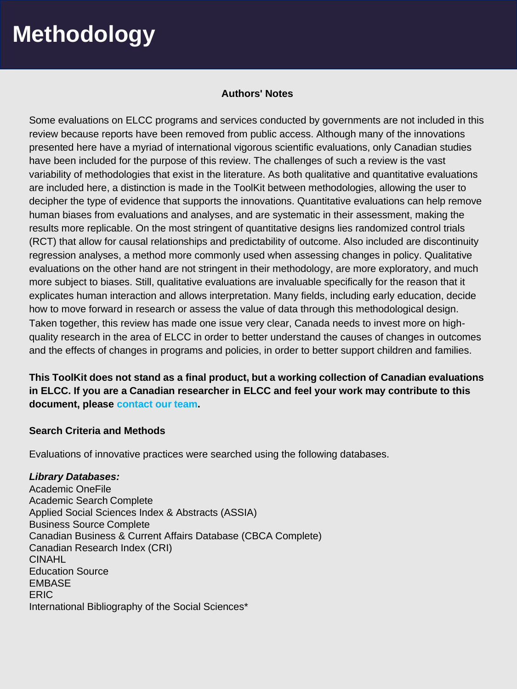#### **Authors' Notes**

Some evaluations on ELCC programs and services conducted by governments are not included in this review because reports have been removed from public access. Although many of the innovations presented here have a myriad of international vigorous scientific evaluations, only Canadian studies have been included for the purpose of this review. The challenges of such a review is the vast variability of methodologies that exist in the literature. As both qualitative and quantitative evaluations are included here, a distinction is made in the ToolKit between methodologies, allowing the user to decipher the type of evidence that supports the innovations. Quantitative evaluations can help remove human biases from evaluations and analyses, and are systematic in their assessment, making the results more replicable. On the most stringent of quantitative designs lies randomized control trials (RCT) that allow for causal relationships and predictability of outcome. Also included are discontinuity regression analyses, a method more commonly used when assessing changes in policy. Qualitative evaluations on the other hand are not stringent in their methodology, are more exploratory, and much more subject to biases. Still, qualitative evaluations are invaluable specifically for the reason that it explicates human interaction and allows interpretation. Many fields, including early education, decide how to move forward in research or assess the value of data through this methodological design. Taken together, this review has made one issue very clear, Canada needs to invest more on highquality research in the area of ELCC in order to better understand the causes of changes in outcomes and the effects of changes in programs and policies, in order to better support children and families.

**This ToolKit does not stand as a final product, but a working collection of Canadian evaluations in ELCC. If you are a Canadian researcher in ELCC and feel your work may contribute to this document, please [contact our](https://www.canadianelccinnovations.ca/contact) team.**

## **Search Criteria and Methods**

Evaluations of innovative practices were searched using the following databases.

#### *Library Databases:*

Academic OneFile Academic Search Complete Applied Social Sciences Index & Abstracts (ASSIA) Business Source Complete Canadian Business & Current Affairs Database (CBCA Complete) Canadian Research Index (CRI) CINAHL Education Source **FMBASE** ERIC International Bibliography of the Social Sciences\*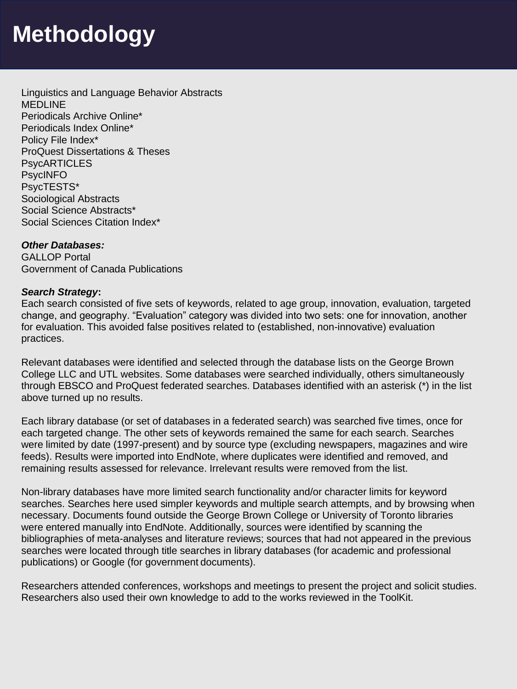Linguistics and Language Behavior Abstracts **MEDLINE** Periodicals Archive Online\* Periodicals Index Online\* Policy File Index\* ProQuest Dissertations & Theses **PsycARTICLES** PsycINFO PsycTESTS\* Sociological Abstracts Social Science Abstracts\* Social Sciences Citation Index\*

## *Other Databases:*

GALLOP Portal Government of Canada Publications

#### *Search Strategy***:**

Each search consisted of five sets of keywords, related to age group, innovation, evaluation, targeted change, and geography. "Evaluation" category was divided into two sets: one for innovation, another for evaluation. This avoided false positives related to (established, non-innovative) evaluation practices.

Relevant databases were identified and selected through the database lists on the George Brown College LLC and UTL websites. Some databases were searched individually, others simultaneously through EBSCO and ProQuest federated searches. Databases identified with an asterisk (\*) in the list above turned up no results.

Each library database (or set of databases in a federated search) was searched five times, once for each targeted change. The other sets of keywords remained the same for each search. Searches were limited by date (1997-present) and by source type (excluding newspapers, magazines and wire feeds). Results were imported into EndNote, where duplicates were identified and removed, and remaining results assessed for relevance. Irrelevant results were removed from the list.

Non-library databases have more limited search functionality and/or character limits for keyword searches. Searches here used simpler keywords and multiple search attempts, and by browsing when necessary. Documents found outside the George Brown College or University of Toronto libraries were entered manually into EndNote. Additionally, sources were identified by scanning the bibliographies of meta-analyses and literature reviews; sources that had not appeared in the previous searches were located through title searches in library databases (for academic and professional publications) or Google (for government documents).

Researchers attended conferences, workshops and meetings to present the project and solicit studies. Researchers also used their own knowledge to add to the works reviewed in the ToolKit.